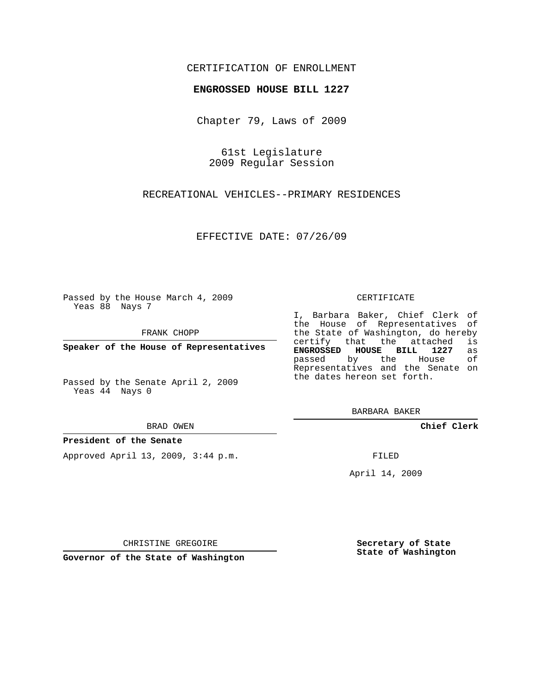## CERTIFICATION OF ENROLLMENT

## **ENGROSSED HOUSE BILL 1227**

Chapter 79, Laws of 2009

61st Legislature 2009 Regular Session

RECREATIONAL VEHICLES--PRIMARY RESIDENCES

EFFECTIVE DATE: 07/26/09

Passed by the House March 4, 2009 Yeas 88 Nays 7

FRANK CHOPP

**Speaker of the House of Representatives**

Passed by the Senate April 2, 2009 Yeas 44 Nays 0

BRAD OWEN

## **President of the Senate**

Approved April 13, 2009, 3:44 p.m.

CERTIFICATE

I, Barbara Baker, Chief Clerk of the House of Representatives of the State of Washington, do hereby<br>certify that the attached is certify that the attached is<br>ENGROSSED HOUSE BILL 1227 as **ENGROSSED HOUSE BILL 1227** as passed by the House Representatives and the Senate on the dates hereon set forth.

BARBARA BAKER

**Chief Clerk**

FILED

April 14, 2009

**Secretary of State State of Washington**

CHRISTINE GREGOIRE

**Governor of the State of Washington**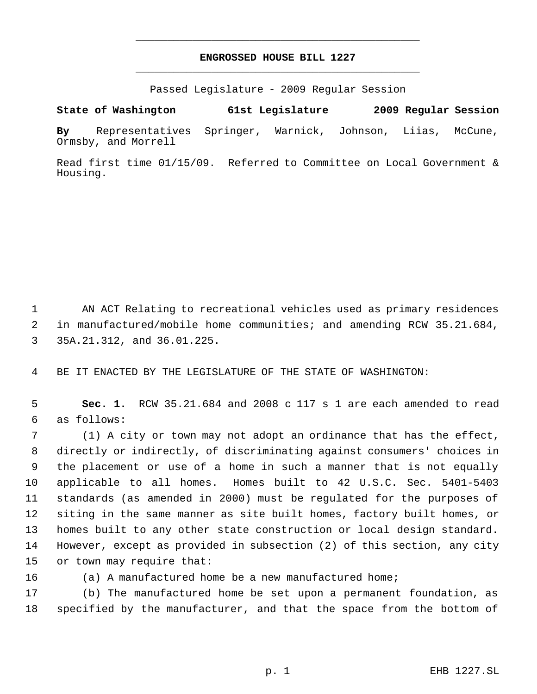## **ENGROSSED HOUSE BILL 1227** \_\_\_\_\_\_\_\_\_\_\_\_\_\_\_\_\_\_\_\_\_\_\_\_\_\_\_\_\_\_\_\_\_\_\_\_\_\_\_\_\_\_\_\_\_

\_\_\_\_\_\_\_\_\_\_\_\_\_\_\_\_\_\_\_\_\_\_\_\_\_\_\_\_\_\_\_\_\_\_\_\_\_\_\_\_\_\_\_\_\_

Passed Legislature - 2009 Regular Session

**State of Washington 61st Legislature 2009 Regular Session**

**By** Representatives Springer, Warnick, Johnson, Liias, McCune, Ormsby, and Morrell

Read first time 01/15/09. Referred to Committee on Local Government & Housing.

 AN ACT Relating to recreational vehicles used as primary residences in manufactured/mobile home communities; and amending RCW 35.21.684, 35A.21.312, and 36.01.225.

BE IT ENACTED BY THE LEGISLATURE OF THE STATE OF WASHINGTON:

 **Sec. 1.** RCW 35.21.684 and 2008 c 117 s 1 are each amended to read as follows:

 (1) A city or town may not adopt an ordinance that has the effect, directly or indirectly, of discriminating against consumers' choices in the placement or use of a home in such a manner that is not equally applicable to all homes. Homes built to 42 U.S.C. Sec. 5401-5403 standards (as amended in 2000) must be regulated for the purposes of siting in the same manner as site built homes, factory built homes, or homes built to any other state construction or local design standard. However, except as provided in subsection (2) of this section, any city or town may require that:

(a) A manufactured home be a new manufactured home;

 (b) The manufactured home be set upon a permanent foundation, as specified by the manufacturer, and that the space from the bottom of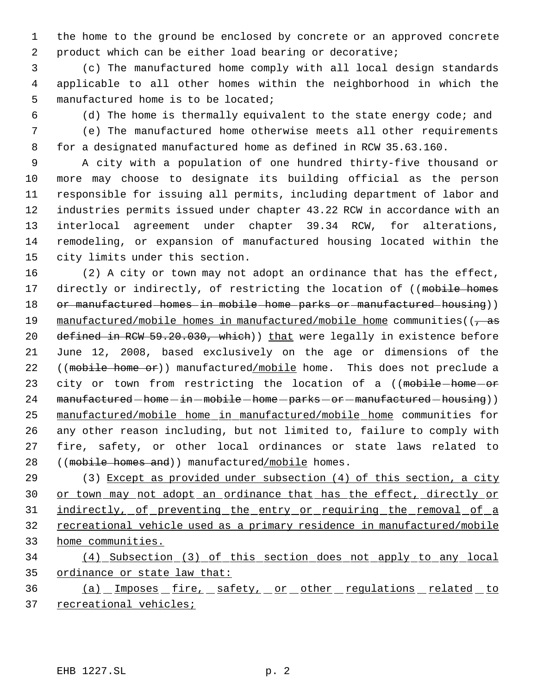the home to the ground be enclosed by concrete or an approved concrete product which can be either load bearing or decorative;

 (c) The manufactured home comply with all local design standards applicable to all other homes within the neighborhood in which the manufactured home is to be located;

(d) The home is thermally equivalent to the state energy code; and

 (e) The manufactured home otherwise meets all other requirements for a designated manufactured home as defined in RCW 35.63.160.

 A city with a population of one hundred thirty-five thousand or more may choose to designate its building official as the person responsible for issuing all permits, including department of labor and industries permits issued under chapter 43.22 RCW in accordance with an interlocal agreement under chapter 39.34 RCW, for alterations, remodeling, or expansion of manufactured housing located within the city limits under this section.

 (2) A city or town may not adopt an ordinance that has the effect, 17 directly or indirectly, of restricting the location of ((mobile homes 18 or manufactured homes in mobile home parks or manufactured housing)) 19 manufactured/mobile homes in manufactured/mobile home communities( $\left($ , as 20 defined in RCW 59.20.030, which)) that were legally in existence before June 12, 2008, based exclusively on the age or dimensions of the 22 ((mobile home or)) manufactured/mobile home. This does not preclude a 23 city or town from restricting the location of a ((mobile-home-or 24 manufactured-home-in-mobile-home-parks-or-manufactured-housing)) manufactured/mobile home in manufactured/mobile home communities for any other reason including, but not limited to, failure to comply with fire, safety, or other local ordinances or state laws related to 28 ((mobile homes and)) manufactured/mobile homes.

 (3) Except as provided under subsection (4) of this section, a city 30 or town may not adopt an ordinance that has the effect, directly or 31 indirectly, of preventing the entry or requiring the removal of a recreational vehicle used as a primary residence in manufactured/mobile home communities.

 (4) Subsection (3) of this section does not apply to any local ordinance or state law that:

36 (a) Imposes fire, safety, or other regulations related to 37 recreational vehicles;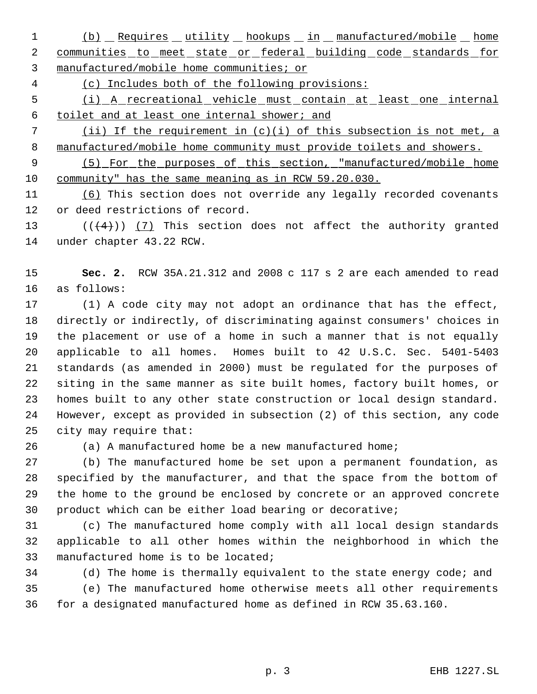1 (b) Requires utility hookups in manufactured/mobile home 2 communities to meet state or federal building code standards for manufactured/mobile home communities; or

(c) Includes both of the following provisions:

 (i) A recreational vehicle must contain at least one internal toilet and at least one internal shower; and

 (ii) If the requirement in (c)(i) of this subsection is not met, a 8 manufactured/mobile home community must provide toilets and showers.

 (5) For the purposes of this section, "manufactured/mobile home community" has the same meaning as in RCW 59.20.030.

 (6) This section does not override any legally recorded covenants or deed restrictions of record.

13  $((+4))$   $(7)$  This section does not affect the authority granted under chapter 43.22 RCW.

 **Sec. 2.** RCW 35A.21.312 and 2008 c 117 s 2 are each amended to read as follows:

 (1) A code city may not adopt an ordinance that has the effect, directly or indirectly, of discriminating against consumers' choices in the placement or use of a home in such a manner that is not equally applicable to all homes. Homes built to 42 U.S.C. Sec. 5401-5403 standards (as amended in 2000) must be regulated for the purposes of siting in the same manner as site built homes, factory built homes, or homes built to any other state construction or local design standard. However, except as provided in subsection (2) of this section, any code city may require that:

(a) A manufactured home be a new manufactured home;

 (b) The manufactured home be set upon a permanent foundation, as specified by the manufacturer, and that the space from the bottom of the home to the ground be enclosed by concrete or an approved concrete product which can be either load bearing or decorative;

 (c) The manufactured home comply with all local design standards applicable to all other homes within the neighborhood in which the manufactured home is to be located;

 (d) The home is thermally equivalent to the state energy code; and (e) The manufactured home otherwise meets all other requirements for a designated manufactured home as defined in RCW 35.63.160.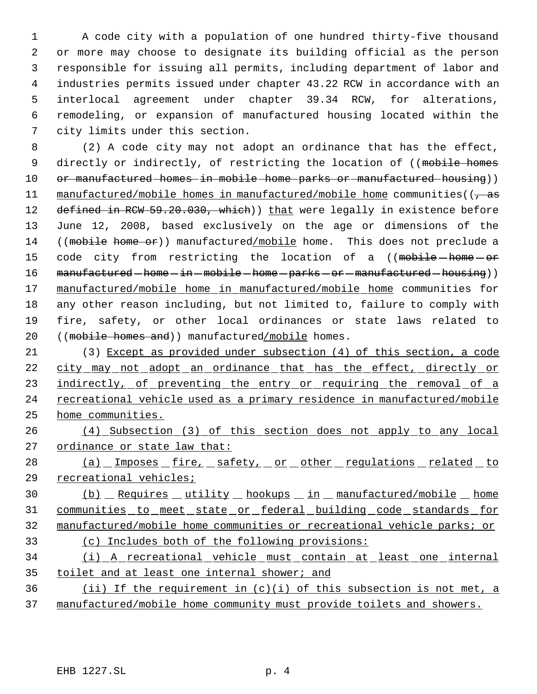A code city with a population of one hundred thirty-five thousand or more may choose to designate its building official as the person responsible for issuing all permits, including department of labor and industries permits issued under chapter 43.22 RCW in accordance with an interlocal agreement under chapter 39.34 RCW, for alterations, remodeling, or expansion of manufactured housing located within the city limits under this section.

 (2) A code city may not adopt an ordinance that has the effect, 9 directly or indirectly, of restricting the location of ((mobile homes 10 or manufactured homes in mobile home parks or manufactured housing)) 11 manufactured/mobile homes in manufactured/mobile home communities( $\left(-\text{as}\right)$ 12 defined in RCW 59.20.030, which)) that were legally in existence before June 12, 2008, based exclusively on the age or dimensions of the 14 ((mobile home or)) manufactured/mobile home. This does not preclude a 15 code city from restricting the location of a ((mobile home or 16 manufactured-home-in-mobile-home-parks-or-manufactured-housing)) manufactured/mobile home in manufactured/mobile home communities for any other reason including, but not limited to, failure to comply with fire, safety, or other local ordinances or state laws related to 20 ((mobile homes and)) manufactured/mobile homes.

 (3) Except as provided under subsection (4) of this section, a code city may not adopt an ordinance that has the effect, directly or 23 indirectly, of preventing the entry or requiring the removal of a 24 recreational vehicle used as a primary residence in manufactured/mobile home communities.

 (4) Subsection (3) of this section does not apply to any local 27 ordinance or state law that:

28 (a) Imposes fire, safety, or other regulations related to recreational vehicles;

 (b) Requires utility hookups in manufactured/mobile home communities to meet state or federal building code standards for manufactured/mobile home communities or recreational vehicle parks; or (c) Includes both of the following provisions:

 (i) A recreational vehicle must contain at least one internal 35 toilet and at least one internal shower; and

36 (ii) If the requirement in  $(c)(i)$  of this subsection is not met, a manufactured/mobile home community must provide toilets and showers.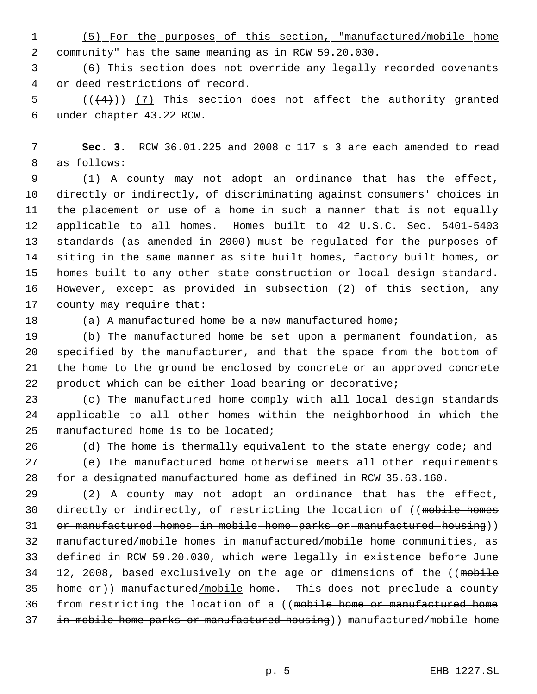(5) For the purposes of this section, "manufactured/mobile home community" has the same meaning as in RCW 59.20.030.

 (6) This section does not override any legally recorded covenants or deed restrictions of record.

 $((4+))$   $(7)$  This section does not affect the authority granted under chapter 43.22 RCW.

 **Sec. 3.** RCW 36.01.225 and 2008 c 117 s 3 are each amended to read as follows:

 (1) A county may not adopt an ordinance that has the effect, directly or indirectly, of discriminating against consumers' choices in the placement or use of a home in such a manner that is not equally applicable to all homes. Homes built to 42 U.S.C. Sec. 5401-5403 standards (as amended in 2000) must be regulated for the purposes of siting in the same manner as site built homes, factory built homes, or homes built to any other state construction or local design standard. However, except as provided in subsection (2) of this section, any county may require that:

(a) A manufactured home be a new manufactured home;

 (b) The manufactured home be set upon a permanent foundation, as specified by the manufacturer, and that the space from the bottom of the home to the ground be enclosed by concrete or an approved concrete product which can be either load bearing or decorative;

 (c) The manufactured home comply with all local design standards applicable to all other homes within the neighborhood in which the manufactured home is to be located;

26 (d) The home is thermally equivalent to the state energy code; and

 (e) The manufactured home otherwise meets all other requirements for a designated manufactured home as defined in RCW 35.63.160.

 (2) A county may not adopt an ordinance that has the effect, 30 directly or indirectly, of restricting the location of ((mobile homes 31 or manufactured homes in mobile home parks or manufactured housing)) manufactured/mobile homes in manufactured/mobile home communities, as defined in RCW 59.20.030, which were legally in existence before June 34 12, 2008, based exclusively on the age or dimensions of the ((mobile 35 home or)) manufactured/mobile home. This does not preclude a county from restricting the location of a ((mobile home or manufactured home in mobile home parks or manufactured housing)) manufactured/mobile home